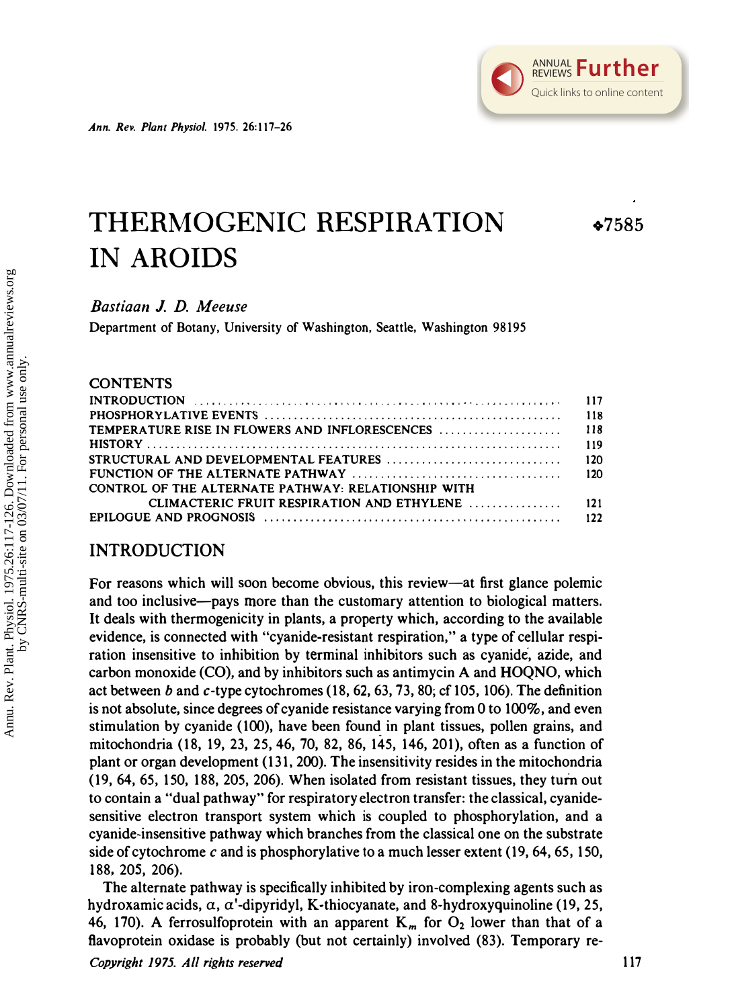# THERMOGENIC RESPIRATION IN AROIDS .7585

Bastiaan J. D. Meeuse

Department of Botany, University of Washington, Seattle, Washington 98195

### **CONTENTS**

| CONTROL OF THE ALTERNATE PATHWAY: RELATIONSHIP WITH |  |
|-----------------------------------------------------|--|
|                                                     |  |
|                                                     |  |

### INTRODUCTION

For reasons which will soon become obvious, this review—at first glance polemic and too inclusive-pays more than the customary attention to biological matters. It deals with thermogenicity in plants, a property which, according to the available evidence, is connected with "cyanide-resistant respiration," a type of cellular respiration insensitive to inhibition by terminal inhibitors such as cyanide, azide, and carbon monoxide (CO), and by inhibitors such as antimycin A and HOQNO, which act between band c-type cytochromes (18,62,63,73,80; cf 105, 106). The definition is not absolute, since degrees of cyanide resistance varying from 0 to 100%, and even stimulation by cyanide (100), have been found in plant tissues, pollen grains, and mitochondria (18, 19, 23, 25,46,70, 82, 86, 145, 146,201), often as a function of plant or organ development (131, 200). The insensitivity resides in the mitochondria (19,64,65, 150, 188,205,206). When isolated from resistant tissues, they turn out to contain a "dual pathway" for respiratory electron transfer: the classical, cyanidesensitive electron transport system which is coupled to phosphorylation, and a cyanide-insensitive pathway which branches from the classical one on the substrate side of cytochrome c and is phosphorylative to a much lesser extent  $(19, 64, 65, 150, 150)$ 188, 205, 206).

The alternate pathway is specifically inhibited by iron-complexing agents such as hydroxamic acids,  $\alpha$ ,  $\alpha'$ -dipyridyl, K-thiocyanate, and 8-hydroxyquinoline (19, 25, 46, 170). A ferrosulfoprotein with an apparent  $K_m$  for  $O_2$  lower than that of a flavoprotein oxidase is probably (but not certainly) involved (83). Temporary re-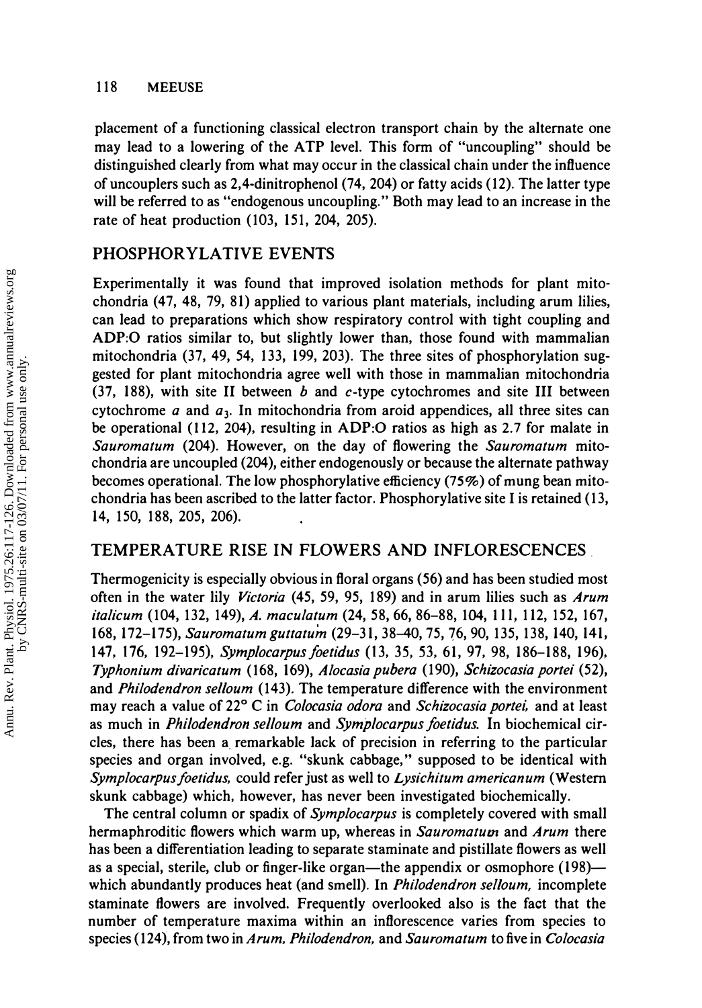#### 118 MEEUSE

placement of a functioning classical electron transport chain by the alternate one may lead to a lowering of the ATP level. This form of "uncoupling" should be distinguished clearly from what may occur in the classical chain under the influence of un couplers such as 2,4-dinitrophenol (74, 204) or fatty acids (12). The latter type will be referred to as "endogenous uncoupling." Both may lead to an increase in the rate of heat production (103, 151, 204, 205).

# PHOSPHORYLATIVE EVENTS

Experimentally it was found that improved isolation methods for plant mitochondria (47, 48, 79, 81) applied to various plant materials, including arum lilies, can lead to preparations which show respiratory control with tight coupling and ADP:O ratios similar to, but slightly lower than, those found with mammalian mitochondria (37, 49, 54, 133, 199, 203). The three sites of phosphorylation suggested for plant mitochondria agree well with those in mammalian mitochondria (37, 188), with site II between  $b$  and  $c$ -type cytochromes and site III between cytochrome a and  $a_3$ . In mitochondria from aroid appendices, all three sites can be operational (112, 204), resulting in ADP:O ratios as high as 2.7 for malate in Sauromatum (204). However, on the day of flowering the Sauromatum mitochondria are uncoupled (204), either endogenously or because the alternate pathway becomes operational. The low phosphorylative efficiency (75%) of mung bean mitochondria has been ascribed to the latter factor. Phosphorylative site I is retained (13, 14, 150, 188, 205, 206).

## TEMPERATURE RISE IN FLOWERS AND INFLORESCENCES.

Thermogenicity is especially obvious in floral organs (56) and has been studied most often in the water lily Victoria (45, 59, 95, 189) and in arum lilies such as Arum italicum (104, 132, 149), A. maculatum (24, 58,66,86-88, 104, Il l, 112, 152, 167, 168, 172-175), Sauromatum guttatum (29-31, 38-40, 75, 76, 90, 135, 138, 140, 141, 147, 176, 192-195), Symplocarpus foetidus (13, 35, 53, 61, 97, 98, 186-188, 196), Typhonium divaricatum (168, 169), Alocasia pubera (190), Schizocasia portei (52), and Philodendron selloum (143). The temperature difference with the environment may reach a value of 22° C in *Colocasia odora* and *Schizocasia portei*, and at least as much in *Philodendron selloum* and *Symplocarpus foetidus*. In biochemical circles, there has been a remarkable lack of precision in referring to the particular species and organ involved, e.g. "skunk cabbage," supposed to be identical with Symplocarpus foetidus, could refer just as well to Lysichitum americanum (Western skunk cabbage) which, however, has never been investigated biochemically.

The central column or spadix of Symplocarpus is completely covered with small hermaphroditic flowers which warm up, whereas in Sauromatum and Arum there has been a differentiation leading to separate staminate and pistillate flowers as well as a special, sterile, club or finger-like organ—the appendix or osmophore (198) which abundantly produces heat (and smell). In *Philodendron selloum*, incomplete staminate flowers are involved. Frequently overlooked also is the fact that the number of temperature maxima within an inflorescence varies from species to species (124), from two in Arum, Philodendron, and Sauromatum to five in Colocasia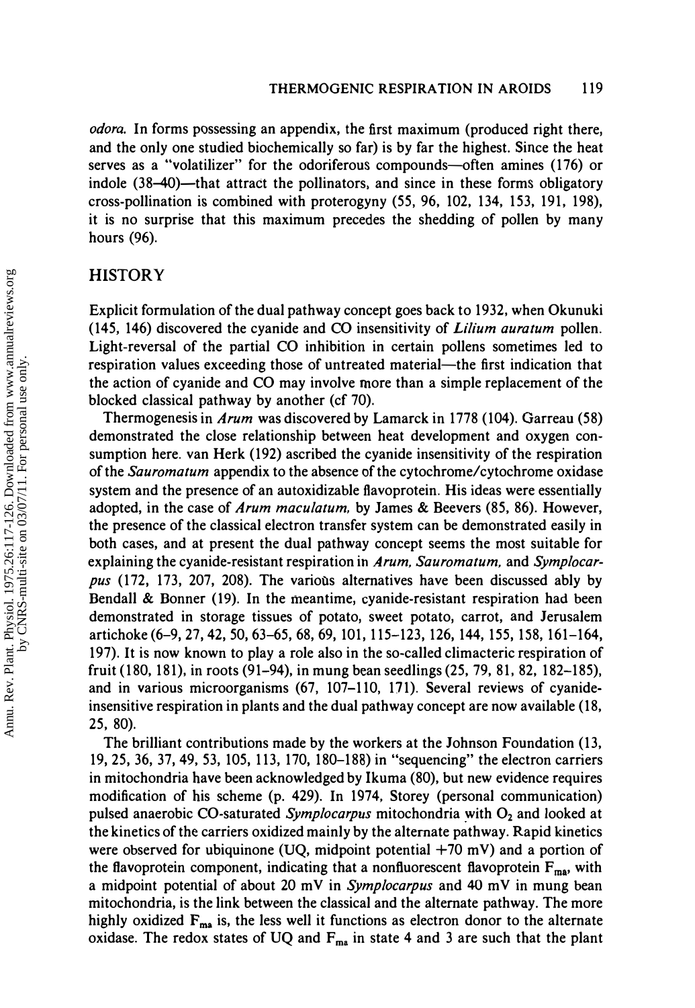odora. In forms possessing an appendix, the first maximum (produced right there, and the only one studied biochemically so far) is by far the highest. Since the heat serves as a "volatilizer" for the odoriferous compounds-often amines (176) or indole (38–40)—that attract the pollinators, and since in these forms obligatory cross-pollination is combined with proterogyny (55, 96, 102, 134, 153, 191, 198), it is no surprise that this maximum precedes the shedding of pollen by many hours (96).

### **HISTORY**

Explicit formulation of the dual pathway concept goes back to 1932, when Okunuki (145, 146) discovered the cyanide and CO insensitivity of Lilium auratum pollen. Light-reversal of the partial CO inhibition in certain pollens sometimes led to respiration values exceeding those of untreated material—the first indication that the action of cyanide and CO may involve more than a simple replacement of the blocked classical pathway by another (cf 70).

Thermogenesis in *Arum* was discovered by Lamarck in 1778 (104). Garreau (58) demonstrated the close relationship between heat development and oxygen consumption here. van Herk (192) ascribed the cyanide insensitivity of the respiration of the Sauromatum appendix to the absence of the cytochrome/cytochrome oxidase system and the presence of an autoxidizable flavoprotein. His ideas were essentially adopted, in the case of Arum maculatum, by James & Beevers (85, 86). However, the presence of the classical electron transfer system can be demonstrated easily in both cases, and at present the dual pathway concept seems the most suitable for explaining the cyanide-resistant respiration in Arum, Sauromatum, and Symplocarpus (172, 173, 207, 208). The various alternatives have been discussed ably by Bendall & Bonner (19). In the meantime, cyanide-resistant respiration had been demonstrated in storage tissues of potato, sweet potato, carrot, and Jerusalem artichoke (6-9,27,42,50,63-65, 68, 69, 101,115-123, 126, 144, 155, 158, 161-164, 197). It is now known to play a role also in the so-called climacteric respiration of fruit (180, 181), in roots (91-94), in mung bean seedlings (25, 79, 81, 82, 182-185), and in various microorganisms (67, 107-110, 171). Several reviews of cyanideinsensitive respiration in plants and the dual pathway concept are now available (18, 25, 80).

The brilliant contributions made by the workers at the Johnson Foundation (13, 19,25,36, 37,49, 53, 105, 113, 170, 180-188) in "sequencing" the electron carriers in mitochondria have been acknowledged by Ikuma (80), but new evidence requires modification of his scheme (p. 429). In 1974, Storey (personal communication) pulsed anaerobic CO-saturated Symplocarpus mitochondria with  $O<sub>2</sub>$  and looked at the kinetics of the carriers oxidized mainly by the alternate pathway. Rapid kinetics were observed for ubiquinone (UQ, midpoint potential  $+70$  mV) and a portion of the flavoprotein component, indicating that a nonfluorescent flavoprotein  $F_{\text{ma}}$ , with a midpoint potential of about 20 mY in Symplocarpus and 40 mY in mung bean mitochondria, is the link between the classical and the alternate pathway. The more highly oxidized  $F_{ma}$  is, the less well it functions as electron donor to the alternate oxidase. The redox states of UQ and  $F_{ma}$  in state 4 and 3 are such that the plant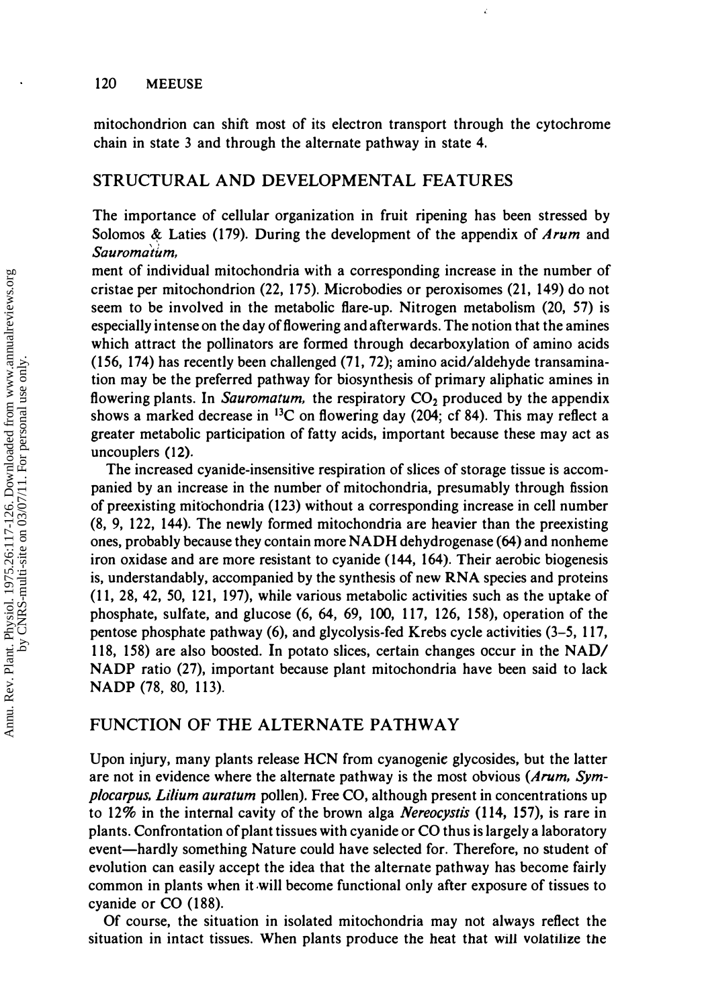#### 120 MEEUSE

mitochondrion can shift most of its electron transport through the cytochrome chain in state 3 and through the alternate pathway in state 4.

#### STRUCTURAL AND DEVELOPMENTAL FEATURES

The importance of cellular organization in fruit ripening has been stressed by Solomos & Laties (179). During the development of the appendix of Arum and  $Saurom\hat{atum}$ , when important permeability changes of  $Saurom\hat{atum}$ , there is an enlarge-is an enlarge-is an enlarge-is an enlarge-is an enlarge-is an enlarge-is an enlarge-is an enlarge-is an enlarge-is an enlarge-is an enla

ment of individual mitochondria with a corresponding increase in the number of cristae per mitochondrion (22, 175). Microbodies or peroxisomes (21, 149) do not seem to be involved in the metabolic flare-up. Nitrogen metabolism (20, 57) is especially intense on the day of flowering and afterwards. The notion that the amines which attract the pollinators are formed through decarboxylation of amino acids (156, 174) has recently been challenged (71,72); amino acid/aldehyde transamination may be the preferred pathway for biosynthesis of primary aliphatic amines in flowering plants. In Sauromatum, the respiratory  $CO<sub>2</sub>$  produced by the appendix shows a marked decrease in  ${}^{13}C$  on flowering day (204; cf 84). This may reflect a greater metabolic participation of fatty acids, important because these may act as uncouplers (12).

The increased cyanide-insensitive respiration of slices of storage tissue is accompanied by an increase in the number of mitochondria, presumably through fission of preexisting mitochondria (123) without a corresponding increase in cell number (8, 9, 122, 144). The newly formed mitochondria are heavier than the preexisting ones, probably because they contain more NADH dehydrogenase (64) and nonheme iron oxidase and are more resistant to cyanide (144, 164). Their aerobic biogenesis is, understandably, accompanied by the synthesis of new RNA species and proteins (11, 28, 42, 50, 121, 197), while various metabolic activities such as the uptake of phosphate, sulfate, and glucose (6, 64, 69, 100, 117, 126, 158), operation of the pentose phosphate pathway (6), and glycolysis-fed Krebs cycle activities (3-5, 117, 118, 158) are also boosted. In potato slices, certain changes occur in the NAD/ NADP ratio (27), important because plant mitochondria have been said to lack NADP (78, 80, 113).

# FUNCTION OF THE ALTERNATE PATHWAY

Upon injury, many plants release HCN from cyanogenie glycosides, but the latter are not in evidence where the alternate pathway is the most obvious  $(Arum, Sym$ plocarpus, Lilium auratum pollen). Free CO, although present in concentrations up to 12% in the internal cavity of the brown alga *Nereocystis* (114, 157), is rare in plants. Confrontation of plant tissues with cyanide or CO thus is largely a laboratory event—hardly something Nature could have selected for. Therefore, no student of evolution can easily accept the idea that the alternate pathway has become fairly common in plants when it will become functional only after exposure of tissues to cyanide or CO (188).

Of course, the situation in isolated mitochondria may not always reflect the situation in intact tissues. When plants produce the heat that will volatilize the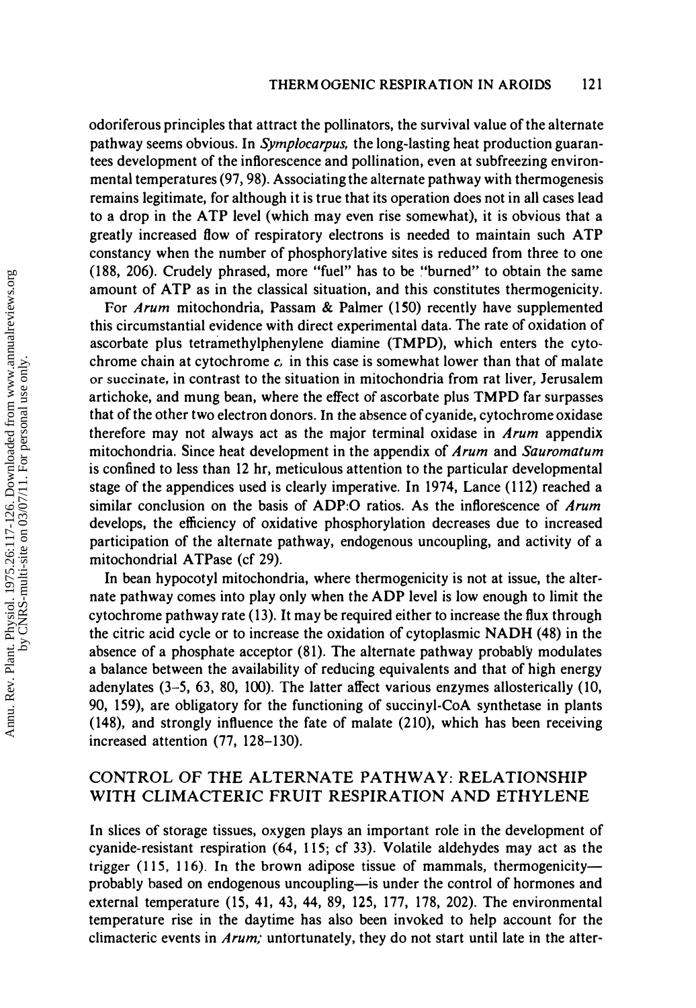odoriferous principles that attract the pollinators, the survival value of the alternate pathway seems obvious. In Symplocarpus, the long-lasting heat production guarantees development of the inflorescence and pollination, even at subfreezing environmental temperatures (97,98). Associating the alternate pathway with thermogenesis remains legitimate, for although it is true that its operation does not in all cases lead to a drop in the ATP level (which may even rise somewhat), it is obvious that a greatly increased flow of respiratory electrons is needed to maintain such ATP constancy when the number of phosphorylative sites is reduced from three to one (188, 206). Crudely phrased, more "fuel" has to be �'burned" to obtain the same amount of ATP as in the classical situation, and this constitutes thermogenicity.

For Arum mitochondria, Passam & Palmer (150) recently have supplemented this circumstantial evidence with direct experimental data. The rate of oxidation of ascorbate plus tetramethylphenylene diamine (TMPD), which enters the cytochrome chain at cytochrome  $c$ , in this case is somewhat lower than that of malate or succinate, in contrast to the situation in mitochondria from rat liver, Jerusalem artichoke, and mung bean, where the effect of ascorbate plus TMPD far surpasses that of the other two electron donors. In the absence of cyanide, cytochrome oxidase therefore may not always act as the major terminal oxidase in Arum appendix mitochondria. Since heat development in the appendix of *Arum* and *Sauromatum* is confined to less than 12 hr, meticulous attention to the particular developmental stage of the appendices used is clearly imperative. In 1974, Lance (112) reached a similar conclusion on the basis of ADP:O ratios. As the inflorescence of Arum develops, the efficiency of oxidative phosphorylation decreases due to increased participation of the alternate pathway, endogenous uncoupling, and activity of a mitochondrial ATPase (cf 29).

In bean hypocotyl mitochondria, where thermogenicity is not at issue, the alternate pathway comes into play only when the ADP level is low enough to limit the cytochrome pathway rate (13). It may be required either to increase the flux through the citric acid cycle or to increase the oxidation of cytoplasmic NADH (48) in the absence of a phosphate acceptor (81). The alternate pathway probably modulates a balance between the availability of reducing equivalents and that of high energy adenylates  $(3-5, 63, 80, 100)$ . The latter affect various enzymes allosterically  $(10, 100)$ 90, 159), are obligatory for the functioning of succinyl-CoA synthetase in plants (148), and strongly influence the fate of malate (210), which has been receiving increased attention (77, 128-130).

# CONTROL OF THE ALTERNATE PATHWAY; RELATIONSHIP WITH CLIMACTERIC FRUIT RESPIRATION AND ETHYLENE

In slices of storage tissues, oxygen plays an important role in the development of cyanide-resistant respiration (64, 115; cf 33). Volatile aldehydes may act as the trigger  $(115, 116)$ . In the brown adipose tissue of mammals, thermogenicityprobably based on endogenous uncoupling-is under the control of hormones and external temperature (15, 41, 43, 44, 89, 125, 177, 178, 202). The environmental temperature rise in the daytime has also been invoked to help account for the climacteric events in *Arum*; untortunately, they do not start until late in the after-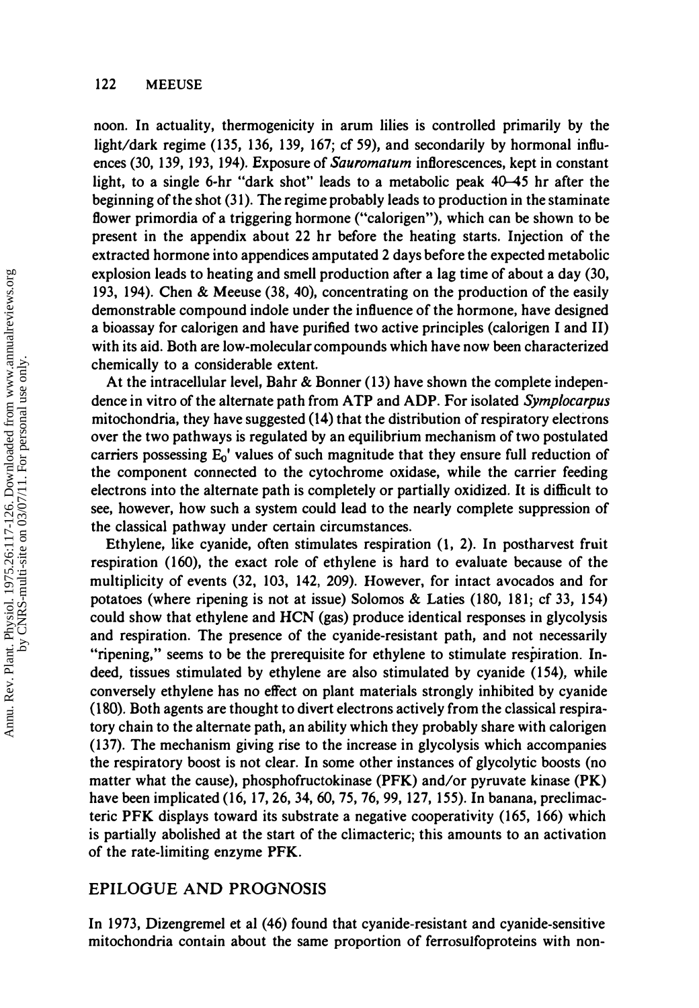noon. In actuality, thermogenicity in arum lilies is controlled primarily by the light/dark regime (135, 136, 139, 167; cf 59), and secondarily by hormonal influences (30, 139, 193, 194). Exposure of Sauromatum inflorescences, kept in constant light, to a single 6-hr "dark shot" leads to a metabolic peak 40-45 hr after the beginning of the shot (31). The regime probably leads to production in the staminate flower primordia of a triggering hormone ("calorigen"), which can be shown to be present in the appendix about 22 hr before the heating starts. Injection of the extracted hormone into appendices amputated 2 days before the expected metabolic explosion leads to heating and smell production after a lag time of about a day (30, 193, 194). Chen & Meeuse (38, 40), concentrating on the production of the easily demonstrable compound indole under the influence of the hormone, have designed a bioassay for calorigen and have purified two active principles (calorigen I and II) with its aid. Both are low-molecular compounds which have now been characterized chemically to a considerable extent.

At the intracellular level, Bahr & Bonner (13) have shown the complete independence in vitro of the alternate path from ATP and ADP. For isolated Symplocarpus mitochondria, they have suggested (14) that the distribution of respiratory electrons over the two pathways is regulated by an eqUilibrium mechanism of two postulated carriers possessing  $E_0'$  values of such magnitude that they ensure full reduction of the component connected to the cytochrome oxidase, while the carrier feeding electrons into the alternate path is completely or partially oxidized. It is difficult to see, however, how such a system could lead to the nearly complete suppression of the classical pathway under certain circumstances.

Ethylene, like cyanide, often stimulates respiration (1, 2). In postharvest fruit respiration (160), the exact role of ethylene is hard to evaluate because of the multiplicity of events (32, 103, 142, 209). However, for intact avocados and for potatoes (where ripening is not at issue) Solomos & Laties (180, 181; cf 33, 154) could show that ethylene and HCN (gas) produce identical responses in glycolysis and respiration. The presence of the cyanide-resistant path, and not necessarily "ripening," seems to be the prerequisite for ethylene to stimulate respiration. Indeed, tissues stimulated by ethylene are also stimulated by cyanide (154), while conversely ethylene has no effect on plant materials strongly inhibited by cyanide (180). Both agents are thought to divert electrons actively from the classical respiratory chain to the alternate path, an ability which they probably share with calorigen (137). The mechanism giving rise to the increase in glycolysis which accompanies the respiratory boost is not clear. In some other instances of glycolytic boosts (no matter what the cause), phosphofructokinase (PFK) and/or pyruvate kinase (PK) have been implicated (16, 17, 26, 34, 60, 75, 76, 99, 127, 155). In banana, preclimacteric PFK displays toward its substrate a negative cooperativity (165, 166) which is partially abolished at the start of the climacteric; this amounts to an activation of the rate-limiting enzyme PFK.

#### EPILOGUE AND PROGNOSIS

In 1973, Dizengremel et al (46) found that cyanide-resistant and cyanide-sensitive mitochondria contain about the same proportion of ferrosulfoproteins with non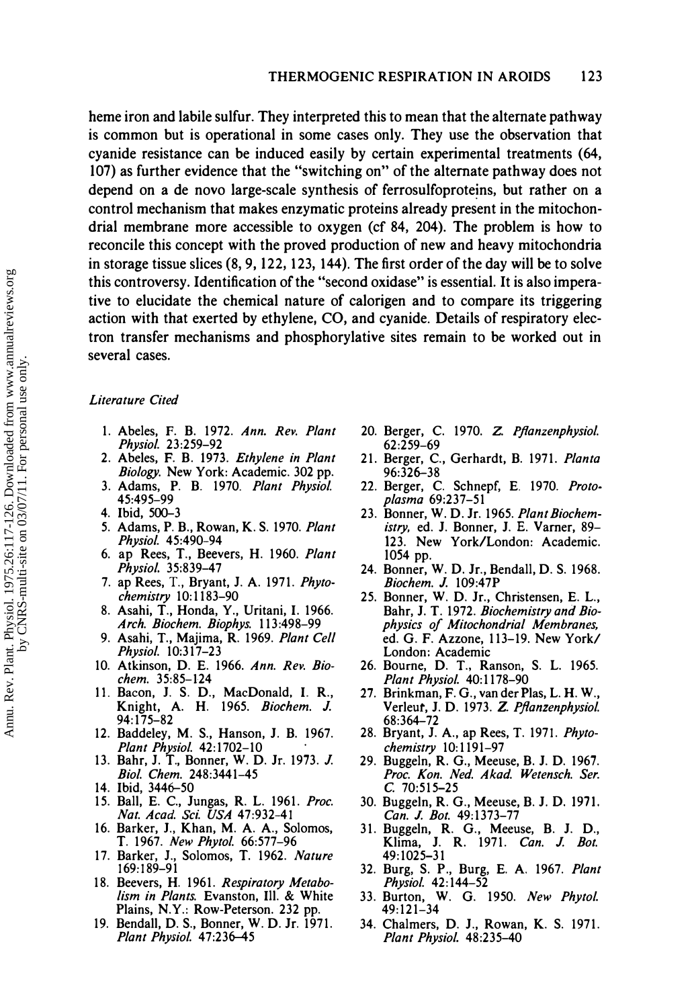heme iron and labile sulfur. They interpreted this to mean that the alternate pathway is common but is operational in some cases only. They use the observation that cyanide resistance can be induced easily by certain experimental treatments (64, 107) as further evidence that the "switching on" of the alternate pathway does not depend on a de novo large-scale synthesis of ferrosulfoproteins, but rather on a control mechanism that makes enzymatic proteins already present in the mitochondrial membrane more accessible to oxygen (cf 84, 204). The problem is how to reconcile this concept with the proved production of new and heavy mitochondria in storage tissue slices (8, 9, 122, 123, 144). The first order of the day will be to solve this controversy. Identification of the "second oxidase" is essential. It is also imperative to elucidate the chemical nature of calorigen and to compare its triggering action with that exerted by ethylene, CO, and cyanide. Details of respiratory electron transfer mechanisms and phosphorylative sites remain to be worked out in several cases.

#### Literature Cited

- 1. Abeles, F. B. 1972. Ann. Rev. Plant Physiol. 23:259-92
- 2. Abeles, F. B. 1973. Ethylene in Plant Biology. New York: Academic. 302 pp.
- 3. Adams, P. B. 1970. Plant Physiol. 45:495-99
- 4. Ibid, 500-3
- 5. Adams, P. B., Rowan, K. S. 1970. Plant Physiol. 45:490-94
- 6. ap Rees, T., Beevers, H. 1960. Plant Physiol. 35:839-47
- 7. ap Rees, T., Bryant, J. A. 1971. Phytochemistry 10: 1183-90
- 8. Asahi, T., Honda, Y., Uritani, I. 1966. Arch. Biochem. Biophys. 113:498-99
- 9. Asahi, T., Majima, R. 1969. Plant Cell Physiol. 10:317-23
- 10. Atkinson, D. E. 1966. Ann. Rev. Biochem. 35:85-124
- II. Bacon, 1. S. D., MacDonald, I. R., Knight, A. H. 1965. Biochem. J. 94:175-82
- 12. Baddeley, M. S., Hanson, J. B. 1967. Plant Physiol. 42:1702-10 .
- 13. Bahr, J. T., Bonner, W. D. Jr. 1973. J. Bioi. Chem. 248:3441-45
- 14. Ibid, 3446–50
- 15. Ball, E. C., Jungas, R. L. 1961. Proc. Nat. Acad. Sci. USA 47:932-41
- 16. Barker, 1., Khan, M. A. A., Solomos, T. 1967. New Phytol. 66:577-96
- 17. Barker, J., Solomos, T. 1962. Nature 169:189-91
- 18. Beevers, H. 1961. Respiratory Metabolism in Plants. Evanston, Ill. & White Plains, N.Y.: Row-Peterson. 232 pp.
- 19. Bendall, D. S., Bonner, W. D. Jr. 1971. Plant Physiol. 47:236-45
- 20. Berger, C. 1970. Z. Pflanzenphysiol. 62:259-69
- 21. Berger, C., Gerhardt, B. 1971. Planta 96:326-38
- 22. Berger, C. Schnepf, E. 1970. Protoplasma 69:237-51
- 23. Bonner, W. D. Jr. 1965. Plant Biochemistry, ed. J. Bonner, J. E. Varner, 89- 123. New York/London: Academic. 1054 pp.
- 24. Bonner, W. D. Jr., Bendall, D. S. 1968. Biochem. J. 109:47P
- 25. Bonner, W. D. Jr., Christensen, E. L., Bahr, J. T. 1972. Biochemistry and Biophysics of Mitochondrial Membranes, ed. G. F. Azzone, 113-19. New York/ London: Academic
- 26. Bourne, D. T., Ranson, S. L. 1965. Plant Physiol. 40:1178-90
- 27. Brinkman, F. G., van der Plas, L. H. W., Verleut, J. D. 1973. Z. Pflanzenphysiol. 68:364-72
- 28. Bryant, J. A., ap Rees, T. 1971. Phytochemistry 10: 1191-97
- 29. Buggeln, R. G., Meeuse, B. J. D. 1967. Proc. Kon. Ned. Akad. Wetensch. Ser.  $C.70:515-25$
- 30. Buggeln, R. G., Meeuse, B. J. D. 1971. Can. J. Bot. 49:1373-77
- 31. Buggeln, R. G., Meeuse, B. J. D., Klima, J. R. 1971. Can. J. Bot. 49:1025-31
- 32. Burg, S. P., Burg, E. A. 1967. Plant Physiol. 42:144-52
- 33. Burton, W. G. 1950. New Phytol. 49:121-34
- 34. Chalmers, D. J., Rowan, K. S. 1971. Plant Physiol. 48:235-40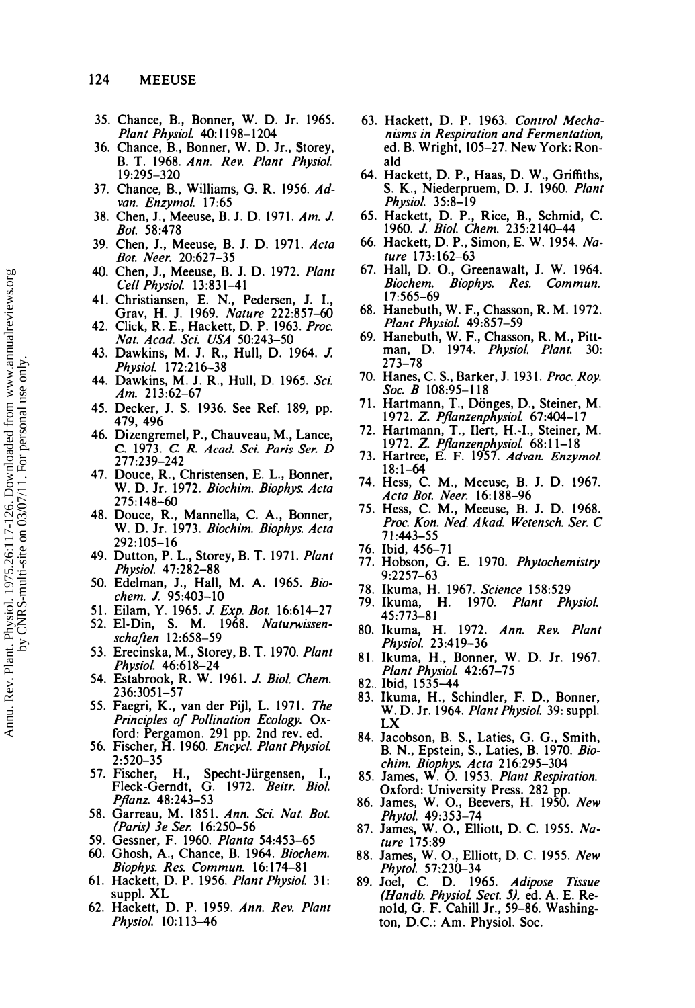- 35. Chance, B., Bonner, W. D. Jr. 1965. Plant Physiol. 40:1198-1204
- 36. Chance, B., Bonner, W. D. Jr., Storey, B. T. 1968. Ann. Rev. Plant Physiol. 19:295-320
- 37. Chance, B., Williams, G. R. 1956. Advan. Enzymol. 17:65
- 38. Chen, J., Meeuse, B. J. D. 1971. Am. J. Bot. 58:478
- 39. Chen, J., Meeuse, B. J. D. 1971. Acta Bot. Neer. 20:627-35
- 40. Chen, J., Meeuse, B. J. D. 1972. Plant Cell Physiol. 13:831-41
- 41. Christiansen, E. N., Pedersen, J. I., Grav, H. J. 1969. Nature 222:857–60
- 42. Click, R. E., Hackett, D. P. 1963. Proc. Nat. Acad. Sci. USA 50:243-50
- 43. Dawkins, M. J. R., Hull, D. 1964. J. Physiol. 172:216-38
- 44. Dawkins, M. J. R., Hull, D. 1965. Sci. Am. 213:62-67
- 45. Decker, J. S. 1936. See Ref. 189, pp. 479,496
- 46. Dizengremel, P., Chauveau, M., Lance, C. 1973. *C. R. Acad. Sci. Paris Ser. D*<br>277:239–242
- 47. Douce, R., Christensen, E. L., Bonner, W. D. Jr. 1972. Biochim. Biophys. Acta 275:148-60
- 48. Douce, R., Mannella, C. A., Bonner, W. D. Jr. 1973. Biochim. Biophys. Acta 292:105-16
- 49. Dutton, P. L., Storey, B. T. 1971. Plant Physiol. 47:282-88
- 50. Edelman, J., Hall, M. A. 1965. Biochem. J. 95:403-10
- 51. Eilam, Y. 1965. J. Exp. Bot. 16:614-27
- 52. EI-Din, S. M. 1968. Naturwissenschaften 12:658-59
- 53. Erecinska, M., Storey, B. T. 1970. Plant Physiol. 46:618-24
- 54. Estabrook, R. W. 1961. J. Biol. Chem. 236:3051-57
- 55. Faegri, K., van der Pijl, L. 1971. *The* Principles of Pollination Ecology. Oxford: Pergamon. 291 pp. 2nd rev. ed.
- 56. Fischer, H. 1960. Encycl. Plant Physiol. 2:520-35
- 57. Fischer, H., Specht-Jurgensen, I., Fleck-Gerndt, G. 1972. Beitr. Biol. Pflanz. 48:243–53
- 58. Garreau, M. 1851. Ann. Sci. Nat. Bot. (Paris) 3e Ser. 16:250-56
- 59. Gessner, F. 1960. Planta 54:453-65
- 60. Ghosh, A., Chance, B. 1964. Biochem. Biophys. Res. Commun. 16:174-81
- 61. Hackett, D. P. 1956. Plant Physiol. 31: suppl. XL
- 62. Hackett, D. P. 1959. Ann. Rev. Plant Physiol. 10: 113-46
- 63. Hackett, D. P. 1963. Control Mechanisms in Respiration and Fermentation, ed. B. Wright, 105-27. New York: Ronald
- 64. Hackett, D. P., Haas, D. W., Griffiths, S. K., Niederpruem, D. J. 1960. Plant Physiol. 35:8-19
- 65. Hackett, D. P., Rice, B., Schmid, C. 1960. J. Biol. Chem. 235:2140–44
- 66. Hackett, D. P., Simon, E. W. 1954. Nature 173:162-63
- 67. Hall, D. O., Greenawalt, 1. W. 1964. Biochem. Biophys. Res. Commun. 17:565-69
- 68. Hanebuth, W. F., Chasson, R. M. 1972. Plant Physiol. 49:857-59
- 69. Hanebuth, W. F., Chasson, R. M., Pittman, D. 1974. Physiol. Plant. 30: 273-78
- 70. Hanes, C. S., Barker, J. 1931. Proc. Roy. Soc. B 108:95–118
- 71. Hartmann, T., Dönges, D., Steiner, M. 1972. Z. Pflanzenphysiol. 67:404-17
- 72. Hartmann, T., IIert, H.-I., Steiner, M. 1972. Z. Pflanzenphysiol. 68:11-18
- 73. Hartree, E. F. 1957. Advan. Enzymol. 18:1-64
- 74. Hess, C. M., Meeuse, B. J. D. 1967. Acta Bot. Neer. 16:188-96
- 75. Hess, C. M., Meeuse, B. J. D. 1968. Proc. Kon. Ned. Akad. Wetensch. Ser. C 71:443-55
- 76. Ibid, 456-71
- 77. Hobson, G. E. 1970. Phytochemistry 9:2257-63
- 78. Ikuma, H. 1967. Science 158:529
- 79. Ikuma, H. 1970. Plant Physiol. 45:773-81
- 80. Ikuma, H. 1972. Ann. Rev. Plant Physiol. 23:419-36
- 81. Ikuma, H., Bonner, W. D. Jr. 1967. Plant Physiol. 42:67-75
- 
- 82. Ibid, 1535–44<br>83. Ikuma, H., Schindler, F. D., Bonner, W. D. Jr. 1964. Plant Physiol. 39: suppl. LX
- 84. Jacobson, B. S., Laties, G. G., Smith, B. N., Epstein, S., Laties, B. 1970. *Bio*chim. Biophys. Acta 216:295-304
- 85. James, W. O. 1953. Plant Respiration. Oxford: University Press. 282 pp.
- 86. James, W. O., Beevers, H. 1950. New Phytol. 49:353-74
- 87. James, W. O., Elliott, D. C. 1955. Nature 175:89
- 88. James, W.O., Elliott, D. C. 1955. New Phytol. 57:230-34
- 89. Joel, C. D. 1965. Adipose Tissue (Handb. Physiol Sect. 5), ed. A. E. Reno1d, G. F. Cahill Jr., 59-86. Washington, D.C.: Am. Physiol. Soc.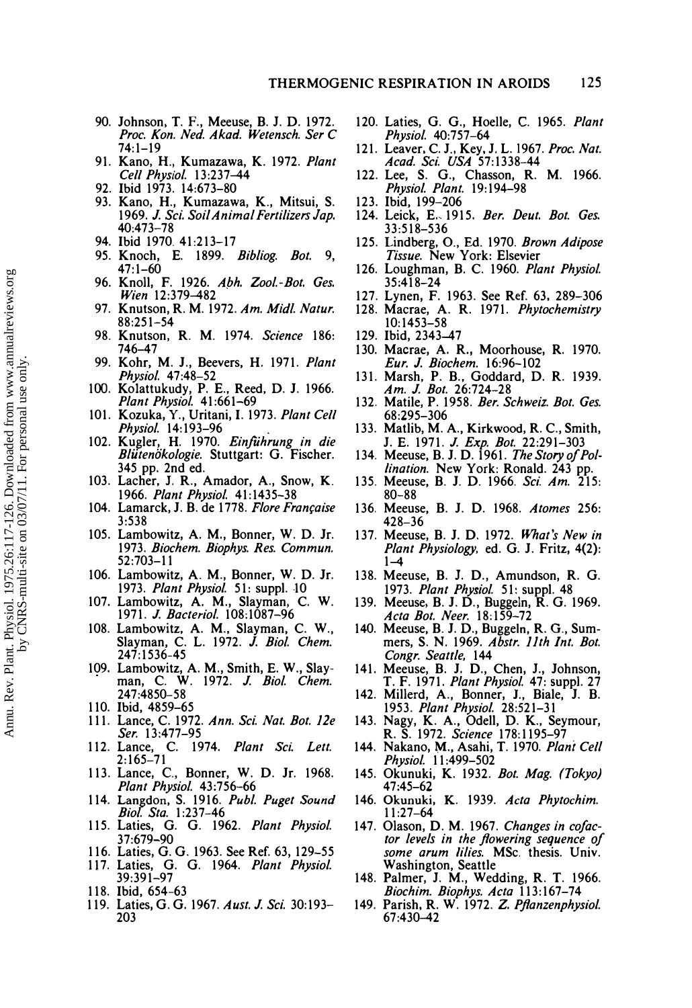- 90. Johnson, T. F., Meeuse, B. J. D. 1972. Proc. Kon. Ned. Akad. Wetensch. Ser C 74:1-19
- 91. Kano, H., Kumazawa, K. 1972. Plant Cell Physiol. 13:237-44
- 92. Ibid 1973. 14:673-80
- 93. Kano, H., Kumazawa, K., Mitsui, S. 1969. J. Sci. Soil Animal Fertilizers Jap. 40:473-78
- 94. Ibid 1970.41:213-17
- 95. Knoch, E. 1899. Bibliog. Bot. 9, 47:1-60
- 96. Knoll, F. 1926. Abh. Zool.-Bot. Ges. Wien 12:379-482
- 97. Knutson, R. M. 1972. Am. Midl. Natur. 88:251-54
- 98. Knutson, R. M. 1974. Science 186: 746-47
- 99. Kohr, M. J., Beevers, H. 1971. Plant Physiol. 47:48-52
- 100. Ko1attukudy, P. E., Reed, D. J. 1966. Plant Physiol. 41:661-69
- 101. Kozuka, Y., Uritani, I. 1973. Plant Cell Physiol. 14: 193-96
- 102. Kugler, H. 1970. Einfiihrung in die Blütenökologie. Stuttgart: G. Fischer. 345 pp. 2nd ed.
- 103. Lacher, 1. R., Amador, A., Snow, K. 1966. Plant Physiol. 41:1435-38
- 104. Lamarck, J. B. de 1778. Flore Française 3:538
- 105. Lambowitz, A. M., Bonner, W. D. Jr. 1973. Biochem. Biophys. Res. Commun. 52:703-11
- 106. Lambowitz, A. M., Bonner, W. D. Jr. 1973. Plant Physiol. 51: suppl. 10
- 107. Lambowitz, A. M., Slayman. C. W. 1971. J. Bacteriol. 108: 1087-96
- 108. Lambowitz, A. M., Slayman, C. W., Slayman, C. L. 1972. *J. Biol. Chem.* 247:1536-45
- 109. Lambowitz, A. M., Smith, E. W., Slay-<br>man, C. W. 1972. J. Biol. Chem. 247:4850-58
- 110. Ibid, 4859-65
- 111. Lance, C. 1972. Ann. Sci. Nat. Bot. 12e Ser. 13:477-95
- 112. Lance, C. 1974. Plant Sci. Lett. 2:165-71
- 113. Lance, c., Bonner, W. D. Jr. 1968. Plant Physiol. 43:756-66
- 114. Langdon, S. 1916. Publ. Puget Sound Biol. Sta. 1:237-46
- 115. Laties, G. G. 1962. Plant Physiol. 37:679-90
- Laties, G. G. 1963. See Ref. 63, 129-55
- 117. Laties, G. G. 1964. Plant Physiol. 39:391-97
- 118. Ibid, 654-63
- 119. Laties, G. G. 1967. Aust. J. Sci. 30:193- 203
- 120. Laties, G. G., Hoelle, C. 1965. Plant Physiol. 40:757-64
- 121. Leaver, C. I., Key, I. L. 1967. Proc. Nat. Acad. Sci. USA 57:1338-44
- 122. Lee, S. G., Chasson, R. M. 1966. Physiol. Plant. 19:194-98
- 123. Ibid, 199-206
- 124. Leick, E. 1915. Ber. Deut. Bot. Ges. 33:518-536
- 125. Lindberg, 0., Ed. 1970. Brown Adipose Tissue. New York: Elsevier
- 126. Loughman, B. C. 1960. Plant Physiol. 35:418-24
- 127. Lynen, F. 1963. See Ref. 63, 289-306
- 128. Macrae, A. R. 1971. Phytochemistry 10:1453-58
- 129. Ibid, 2343-47
- 130. Macrae, A. R., Moorhouse, R. 1970. Eur. J. Biochem. 16:96-102
- 131. Marsh, P. B., Goddard, D. R. 1939. Am. J. Bot. 26:724-28
- 132. Matile, P. 1958. Ber. Schweiz. Bot. Ges. 68:295-306
- 133. Matlib, M. A., Kirkwood, R. C., Smith, J. E. 1971. *J. Exp. Bot.* 22:291–303
- 134. Meeuse, B. J. D. 1961. The Story of Pol*lination.* New York: Ronald. 243 pp.
- 135. Meeuse, B. J. D. 1966. Sci. Am. 215: 80-88
- 136. Meeuse, B. J. D. 1968. Atomes 256: 428-36
- 137. Meeuse, B. J. D. 1972. What's New in Plant Physiology, ed. G. J. Fritz, 4(2):  $1 - 4$
- 138. Meeuse, B. J. D., Amundson, R. G. 1973. Plant Physiol. 51: suppl. 48
- 139. Meeuse. B. J. D., Buggeln, R. G. 1969. Acta Bot. Neer. 18:159-72
- 140. Meeuse, B. J. D., Buggeln, R. G., Summers, S. N. 1969. Abstr. 11th Int. Bot. Congr. Seattle, 144
- 141. Meeuse, B. J. D., Chen, J., Johnson, T. F. 1971. Plant Physiol. 47: suppl. 27
- 142. Millerd, A., Bonner, 1., Biale, J. B. 1953. Plant Physiol. 28:521-31
- 143. Nagy, K. A., Odell, D. K., Seymour, R. S. 1972. Science 178: 1195-97
- 144. Nakano, M., Asahi, T. 1970. Plani Cell Physiol. 11:499-502
- 145. Okunuki, K. 1932. Bot. Mag. (Tokyo) 47:45-62
- 146. Okunuki, K. 1939. Acta Phytochim. 11:27-64
- 147. Olason, D. M. 1967. Changes in co/actor levels in the flowering sequence of some arum lilies. MSc. thesis. Univ. Washington, Seattle
- 148. Palmer, J. M., Wedding, R. T. 1966. Biochim. Biophys. Acta 113:167-74
- 149. Parish, R. W. 1972. Z. Pflanzenphysiol. 67:430-42